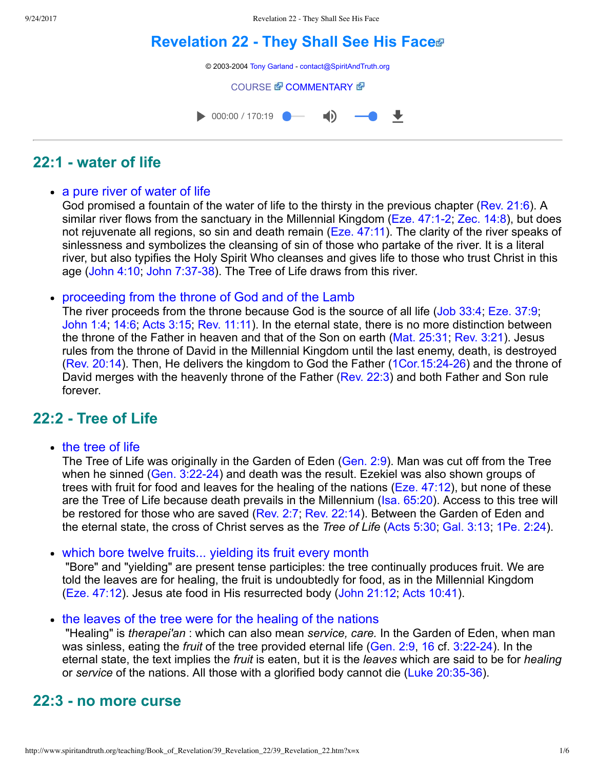# **[Revelation 22 They Shall See His Face](http://www.spiritandtruth.org/teaching/Book_of_Revelation/39_Revelation_22/index.htm)**



## **22:1 water of life**

#### • a pure river of water of life

God promised a fountain of the water of life to the thirsty in the previous chapter ([Rev. 21:6](http://www.spiritandtruth.org/bibles/nasb/b66c021.htm#Rev._C21V6)). A similar river flows from the sanctuary in the Millennial Kingdom (Eze. 47:1-2; [Zec. 14:8](http://www.spiritandtruth.org/bibles/nasb/b38c014.htm#Zec._C14V8)), but does not rejuvenate all regions, so sin and death remain [\(Eze. 47:11\)](http://www.spiritandtruth.org/bibles/nasb/b26c047.htm#Eze._C47V11). The clarity of the river speaks of sinlessness and symbolizes the cleansing of sin of those who partake of the river. It is a literal river, but also typifies the Holy Spirit Who cleanses and gives life to those who trust Christ in this age [\(John 4:10](http://www.spiritandtruth.org/bibles/nasb/b43c004.htm#John_C4V10); John 7:37-38). The Tree of Life draws from this river.

#### proceeding from the throne of God and of the Lamb

The river proceeds from the throne because God is the source of all life ([Job 33:4;](http://www.spiritandtruth.org/bibles/nasb/b18c033.htm#Job_C33V4) [Eze. 37:9](http://www.spiritandtruth.org/bibles/nasb/b26c037.htm#Eze._C37V9); [John 1:4](http://www.spiritandtruth.org/bibles/nasb/b43c001.htm#John_C1V4); [14:6](http://www.spiritandtruth.org/bibles/nasb/b43c014.htm#John_C14V6); [Acts 3:15;](http://www.spiritandtruth.org/bibles/nasb/b44c003.htm#Acts_C3V15) [Rev. 11:11\)](http://www.spiritandtruth.org/bibles/nasb/b66c011.htm#Rev._C11V11). In the eternal state, there is no more distinction between the throne of the Father in heaven and that of the Son on earth ([Mat. 25:31](http://www.spiritandtruth.org/bibles/nasb/b40c025.htm#Mat._C25V31); [Rev. 3:21](http://www.spiritandtruth.org/bibles/nasb/b66c003.htm#Rev._C3V21)). Jesus rules from the throne of David in the Millennial Kingdom until the last enemy, death, is destroyed [\(Rev. 20:14\)](http://www.spiritandtruth.org/bibles/nasb/b66c020.htm#Rev._C20V14). Then, He delivers the kingdom to God the Father [\(1Cor.15:2426\)](http://www.spiritandtruth.org/bibles/nasb/b46c015.htm#1Cor._C15V24) and the throne of David merges with the heavenly throne of the Father ([Rev. 22:3\)](http://www.spiritandtruth.org/bibles/nasb/b66c022.htm#Rev._C22V3) and both Father and Son rule forever.

### **22:2 Tree of Life**

• the tree of life

The Tree of Life was originally in the Garden of Eden ([Gen. 2:9](http://www.spiritandtruth.org/bibles/nasb/b01c002.htm#Gen._C2V9)). Man was cut off from the Tree when he sinned (Gen. 3:22-24) and death was the result. Ezekiel was also shown groups of trees with fruit for food and leaves for the healing of the nations [\(Eze. 47:12\)](http://www.spiritandtruth.org/bibles/nasb/b26c047.htm#Eze._C47V12), but none of these are the Tree of Life because death prevails in the Millennium ([Isa. 65:20](http://www.spiritandtruth.org/bibles/nasb/b23c065.htm#Isa._C65V20)). Access to this tree will be restored for those who are saved ([Rev. 2:7](http://www.spiritandtruth.org/bibles/nasb/b66c002.htm#Rev._C2V7); [Rev. 22:14](http://www.spiritandtruth.org/bibles/nasb/b66c022.htm#Rev._C22V14)). Between the Garden of Eden and the eternal state, the cross of Christ serves as the *Tree of Life* ([Acts 5:30;](http://www.spiritandtruth.org/bibles/nasb/b44c005.htm#Acts_C5V30) [Gal. 3:13;](http://www.spiritandtruth.org/bibles/nasb/b48c003.htm#Gal._C3V13) [1Pe. 2:24](http://www.spiritandtruth.org/bibles/nasb/b60c002.htm#1Pe._C2V24)).

• which bore twelve fruits... yielding its fruit every month

 "Bore" and "yielding" are present tense participles: the tree continually produces fruit. We are told the leaves are for healing, the fruit is undoubtedly for food, as in the Millennial Kingdom [\(Eze. 47:12\)](http://www.spiritandtruth.org/bibles/nasb/b26c047.htm#Eze._C47V12). Jesus ate food in His resurrected body ([John 21:12;](http://www.spiritandtruth.org/bibles/nasb/b43c021.htm#John_C21V12) [Acts 10:41\)](http://www.spiritandtruth.org/bibles/nasb/b44c010.htm#Acts_C10V41).

• the leaves of the tree were for the healing of the nations

 "Healing" is *therapei'an* : which can also mean *service, care.* In the Garden of Eden, when man was sinless, eating the *fruit* of the tree provided eternal life [\(Gen. 2:9](http://www.spiritandtruth.org/bibles/nasb/b01c002.htm#Gen._C2V9), [16](http://www.spiritandtruth.org/bibles/nasb/b01c002.htm#Gen._C2V16) cf. 3:22-24). In the eternal state, the text implies the *fruit* is eaten, but it is the *leaves* which are said to be for *healing* or *service* of the nations. All those with a glorified body cannot die (Luke 20:35-36).

### **22:3 no more curse**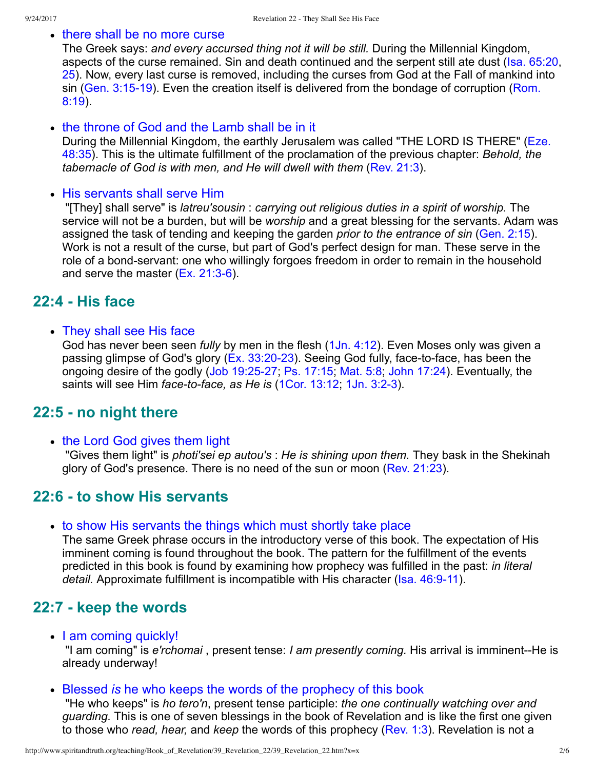#### • there shall be no more curse

The Greek says: *and every accursed thing not it will be still.* During the Millennial Kingdom, aspects of the curse remained. Sin and death continued and the serpent still ate dust [\(Isa. 65:20](http://www.spiritandtruth.org/bibles/nasb/b23c065.htm#Isa._C65V20), [25\)](http://www.spiritandtruth.org/bibles/nasb/b23c065.htm#Isa._C65V25). Now, every last curse is removed, including the curses from God at the Fall of mankind into sin (Gen. 3:15-19). Even the creation itself is delivered from the bondage of corruption (Rom. 8:19).

#### • the throne of God and the Lamb shall be in it

[During the Millennial Kingdom, the earthly Jerusalem was called "THE LORD IS THERE" \(Eze.](http://www.spiritandtruth.org/bibles/nasb/b26c048.htm#Eze._C48V35) 48:35). This is the ultimate fulfillment of the proclamation of the previous chapter: *Behold, the tabernacle of God is with men, and He will dwell with them* [\(Rev. 21:3\)](http://www.spiritandtruth.org/bibles/nasb/b66c021.htm#Rev._C21V3).

#### • His servants shall serve Him

 "[They] shall serve" is *latreu'sousin* : *carrying out religious duties in a spirit of worship.* The service will not be a burden, but will be *worship* and a great blessing for the servants. Adam was assigned the task of tending and keeping the garden *prior to the entrance of sin* [\(Gen. 2:15](http://www.spiritandtruth.org/bibles/nasb/b01c002.htm#Gen._C2V15)). Work is not a result of the curse, but part of God's perfect design for man. These serve in the role of a bond-servant: one who willingly forgoes freedom in order to remain in the household and serve the master  $(Ex. 21:3-6)$ .

### **22:4 His face**

• They shall see His face

God has never been seen *fully* by men in the flesh ([1Jn. 4:12\)](http://www.spiritandtruth.org/bibles/nasb/b62c004.htm#1Jn._C4V12). Even Moses only was given a passing glimpse of God's glory  $(Ex. 33:20-23)$ . Seeing God fully, face-to-face, has been the ongoing desire of the godly (Job 19:25-27; [Ps. 17:15](http://www.spiritandtruth.org/bibles/nasb/b19c017.htm#Ps._C17V15); [Mat. 5:8](http://www.spiritandtruth.org/bibles/nasb/b40c005.htm#Mat._C5V8); [John 17:24\)](http://www.spiritandtruth.org/bibles/nasb/b43c017.htm#John_C17V24). Eventually, the saints will see Him *face-to-face, as He is* ([1Cor. 13:12](http://www.spiritandtruth.org/bibles/nasb/b46c013.htm#1Cor._C13V12), 1Jn. 3:2-3).

### **22:5 no night there**

• the Lord God gives them light

 "Gives them light" is *photi'sei ep autou's* : *He is shining upon them.* They bask in the Shekinah glory of God's presence. There is no need of the sun or moon [\(Rev. 21:23](http://www.spiritandtruth.org/bibles/nasb/b66c021.htm#Rev._C21V23)).

### **22:6 to show His servants**

to show His servants the things which must shortly take place

The same Greek phrase occurs in the introductory verse of this book. The expectation of His imminent coming is found throughout the book. The pattern for the fulfillment of the events predicted in this book is found by examining how prophecy was fulfilled in the past: *in literal detail.* Approximate fulfillment is incompatible with His character (Isa. 46:9-11).

### **22:7 keep the words**

• I am coming quickly!

"I am coming" is *e'rchomai*, present tense: *I am presently coming*. His arrival is imminent--He is already underway!

Blessed *is* he who keeps the words of the prophecy of this book

 "He who keeps" is *ho tero'n*, present tense participle: *the one continually watching over and guarding.* This is one of seven blessings in the book of Revelation and is like the first one given to those who *read, hear,* and *keep* the words of this prophecy ([Rev. 1:3](http://www.spiritandtruth.org/bibles/nasb/b66c001.htm#Rev._C1V3)). Revelation is not a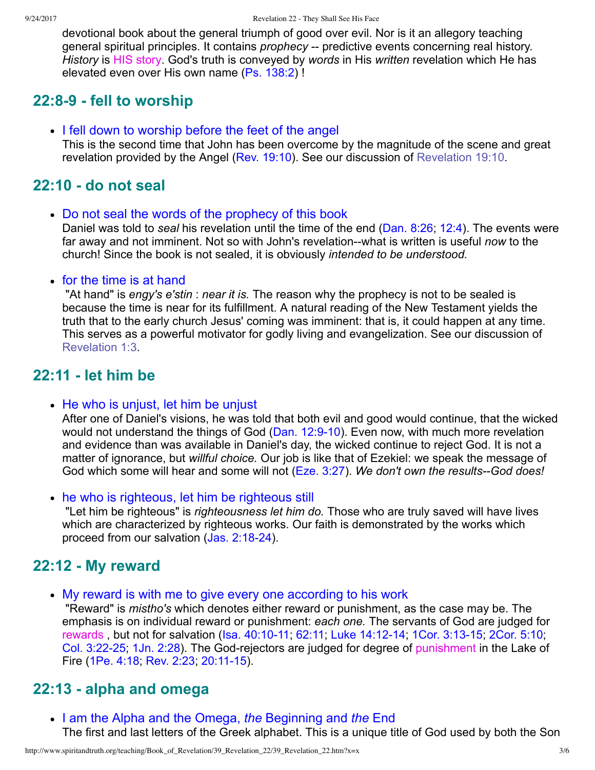devotional book about the general triumph of good over evil. Nor is it an allegory teaching general spiritual principles. It contains *prophecy* -- predictive events concerning real history. *History* is HIS story. God's truth is conveyed by *words* in His *written* revelation which He has elevated even over His own name [\(Ps. 138:2](http://www.spiritandtruth.org/bibles/nasb/b19c138.htm#Ps._C138V2)) !

# **22:89 fell to worship**

I fell down to worship before the feet of the angel

This is the second time that John has been overcome by the magnitude of the scene and great revelation provided by the Angel ([Rev. 19:10](http://www.spiritandtruth.org/bibles/nasb/b66c019.htm#Rev._C19V10)). See our discussion of [Revelation 19:10](http://www.spiritandtruth.org/teaching/Book_of_Revelation/35_Revelation_19/index.htm).

# **22:10 do not seal**

Do not seal the words of the prophecy of this book

Daniel was told to *seal* his revelation until the time of the end ([Dan. 8:26;](http://www.spiritandtruth.org/bibles/nasb/b27c008.htm#Dan._C8V26) [12:4\)](http://www.spiritandtruth.org/bibles/nasb/b27c012.htm#Dan._C12V4). The events were far away and not imminent. Not so with John's revelation--what is written is useful *now* to the church! Since the book is not sealed, it is obviously *intended to be understood.*

#### • for the time is at hand

 "At hand" is *engy's e'stin* : *near it is.* The reason why the prophecy is not to be sealed is because the time is near for its fulfillment. A natural reading of the New Testament yields the truth that to the early church Jesus' coming was imminent: that is, it could happen at any time. This serves as a powerful motivator for godly living and evangelization. See our discussion of [Revelation 1:3.](http://www.spiritandtruth.org/teaching/Book_of_Revelation/11_Revelation_1_3-4/index.htm)

### **22:11 let him be**

• He who is unjust, let him be unjust

After one of Daniel's visions, he was told that both evil and good would continue, that the wicked would not understand the things of God (Dan. 12:9-10). Even now, with much more revelation and evidence than was available in Daniel's day, the wicked continue to reject God. It is not a matter of ignorance, but *willful choice.* Our job is like that of Ezekiel: we speak the message of God which some will hear and some will not [\(Eze. 3:27](http://www.spiritandtruth.org/bibles/nasb/b26c003.htm#Eze._C3V27)). We don't own the results--God does!

• he who is righteous, let him be righteous still

 "Let him be righteous" is *righteousness let him do.* Those who are truly saved will have lives which are characterized by righteous works. Our faith is demonstrated by the works which proceed from our salvation  $(Jas. 2:18-24)$ .

# **22:12 My reward**

My reward is with me to give every one according to his work

 "Reward" is *mistho's* which denotes either reward or punishment, as the case may be. The emphasis is on individual reward or punishment: *each one.* The servants of God are judged for rewards, but not for salvation (Isa. 40:10-11, [62:11;](http://www.spiritandtruth.org/bibles/nasb/b23c062.htm#Isa._C62V11) Luke 14:12-14; 1Cor. 3:13-15; [2Cor. 5:10;](http://www.spiritandtruth.org/bibles/nasb/b47c005.htm#2Cor._C5V10) Col. 3:22-25; [1Jn. 2:28\)](http://www.spiritandtruth.org/bibles/nasb/b62c002.htm#1Jn._C2V28). The God-rejectors are judged for degree of punishment in the Lake of Fire [\(1Pe. 4:18;](http://www.spiritandtruth.org/bibles/nasb/b60c004.htm#1Pe._C4V18) Rev. 2:23, 20:11-15).

### **22:13 alpha and omega**

I am the Alpha and the Omega, *the* Beginning and *the* End The first and last letters of the Greek alphabet. This is a unique title of God used by both the Son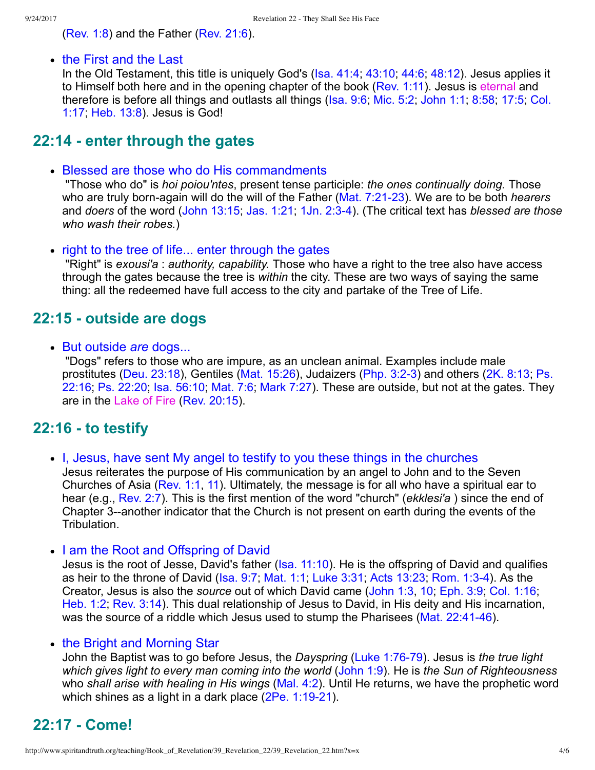[\(Rev. 1:8\)](http://www.spiritandtruth.org/bibles/nasb/b66c001.htm#Rev._C1V8) and the Father [\(Rev. 21:6](http://www.spiritandtruth.org/bibles/nasb/b66c021.htm#Rev._C21V6)).

• the First and the Last

In the Old Testament, this title is uniquely God's [\(Isa. 41:4](http://www.spiritandtruth.org/bibles/nasb/b23c041.htm#Isa._C41V4); [43:10;](http://www.spiritandtruth.org/bibles/nasb/b23c043.htm#Isa._C43V10) [44:6;](http://www.spiritandtruth.org/bibles/nasb/b23c044.htm#Isa._C44V6) [48:12\)](http://www.spiritandtruth.org/bibles/nasb/b23c048.htm#Isa._C48V12). Jesus applies it to Himself both here and in the opening chapter of the book ([Rev. 1:11\)](http://www.spiritandtruth.org/bibles/nasb/b66c001.htm#Rev._C1V11). Jesus is eternal and [therefore is before all things and outlasts all things \(Isa. 9:6; Mic. 5:2; John 1:1; 8:58; 17:5; Col.](http://www.spiritandtruth.org/bibles/nasb/b51c001.htm#Col._C1V17) 1:17; [Heb. 13:8](http://www.spiritandtruth.org/bibles/nasb/b58c013.htm#Heb._C13V8)). Jesus is God!

### **22:14 enter through the gates**

Blessed are those who do His commandments

 "Those who do" is *hoi poiou'ntes*, present tense participle: *the ones continually doing.* Those who are truly born-again will do the will of the Father (Mat. 7:21-23). We are to be both *hearers* and *doers* of the word ([John 13:15;](http://www.spiritandtruth.org/bibles/nasb/b43c013.htm#John_C13V15) [Jas. 1:21;](http://www.spiritandtruth.org/bibles/nasb/b59c001.htm#Jas._C1V21) [1Jn. 2:34\)](http://www.spiritandtruth.org/bibles/nasb/b62c002.htm#1Jn._C2V3). (The critical text has *blessed are those who wash their robes.*)

• right to the tree of life... enter through the gates

 "Right" is *exousi'a* : *authority, capability.* Those who have a right to the tree also have access through the gates because the tree is *within* the city. These are two ways of saying the same thing: all the redeemed have full access to the city and partake of the Tree of Life.

### **22:15 outside are dogs**

But outside *are* dogs...

 "Dogs" refers to those who are impure, as an unclean animal. Examples include male prostitutes (Deu. 23:18), Gentiles (Mat. 15:26), Judaizers (Php. 3:2-3) and others (2K. 8:13; Ps. 22:16; [Ps. 22:20;](http://www.spiritandtruth.org/bibles/nasb/b19c022.htm#Ps._C22V20) [Isa. 56:10;](http://www.spiritandtruth.org/bibles/nasb/b23c056.htm#Isa._C56V10) [Mat. 7:6;](http://www.spiritandtruth.org/bibles/nasb/b40c007.htm#Mat._C7V6) [Mark 7:27](http://www.spiritandtruth.org/bibles/nasb/b41c007.htm#Mark_C7V27)). These are outside, but not at the gates. They are in the Lake of Fire [\(Rev. 20:15\)](http://www.spiritandtruth.org/bibles/nasb/b66c020.htm#Rev._C20V15).

### **22:16 to testify**

I, Jesus, have sent My angel to testify to you these things in the churches Jesus reiterates the purpose of His communication by an angel to John and to the Seven Churches of Asia ([Rev. 1:1,](http://www.spiritandtruth.org/bibles/nasb/b66c001.htm#Rev._C1V1) [11\)](http://www.spiritandtruth.org/bibles/nasb/b66c001.htm#Rev._C1V11). Ultimately, the message is for all who have a spiritual ear to hear (e.g., [Rev. 2:7\)](http://www.spiritandtruth.org/bibles/nasb/b66c002.htm#Rev._C2V7). This is the first mention of the word "church" (*ekklesi'a* ) since the end of Chapter 3--another indicator that the Church is not present on earth during the events of the Tribulation.

• I am the Root and Offspring of David

Jesus is the root of Jesse, David's father ([Isa. 11:10\)](http://www.spiritandtruth.org/bibles/nasb/b23c011.htm#Isa._C11V10). He is the offspring of David and qualifies as heir to the throne of David [\(Isa. 9:7;](http://www.spiritandtruth.org/bibles/nasb/b23c009.htm#Isa._C9V7) [Mat. 1:1](http://www.spiritandtruth.org/bibles/nasb/b40c001.htm#Mat._C1V1); [Luke 3:31;](http://www.spiritandtruth.org/bibles/nasb/b42c003.htm#Luke_C3V31) [Acts 13:23;](http://www.spiritandtruth.org/bibles/nasb/b44c013.htm#Acts_C13V23) [Rom. 1:34\)](http://www.spiritandtruth.org/bibles/nasb/b45c001.htm#Rom._C1V3). As the Creator, Jesus is also the *source* out of which David came ([John 1:3,](http://www.spiritandtruth.org/bibles/nasb/b43c001.htm#John_C1V3) [10;](http://www.spiritandtruth.org/bibles/nasb/b43c001.htm#John_C1V10) [Eph. 3:9](http://www.spiritandtruth.org/bibles/nasb/b49c003.htm#Eph._C3V9); [Col. 1:16](http://www.spiritandtruth.org/bibles/nasb/b51c001.htm#Col._C1V16); [Heb. 1:2](http://www.spiritandtruth.org/bibles/nasb/b58c001.htm#Heb._C1V2); [Rev. 3:14\)](http://www.spiritandtruth.org/bibles/nasb/b66c003.htm#Rev._C3V14). This dual relationship of Jesus to David, in His deity and His incarnation, was the source of a riddle which Jesus used to stump the Pharisees (Mat. 22:41-46).

#### • the Bright and Morning Star

John the Baptist was to go before Jesus, the *Dayspring* [\(Luke 1:7679\)](http://www.spiritandtruth.org/bibles/nasb/b42c001.htm#Luke_C1V76). Jesus is *the true light which gives light to every man coming into the world* ([John 1:9](http://www.spiritandtruth.org/bibles/nasb/b43c001.htm#John_C1V9)). He is *the Sun of Righteousness* who *shall arise with healing in His wings* ([Mal. 4:2\)](http://www.spiritandtruth.org/bibles/nasb/b39c004.htm#Mal._C4V2). Until He returns, we have the prophetic word which shines as a light in a dark place  $(2Pe. 1:19-21)$ .

# **22:17 Come!**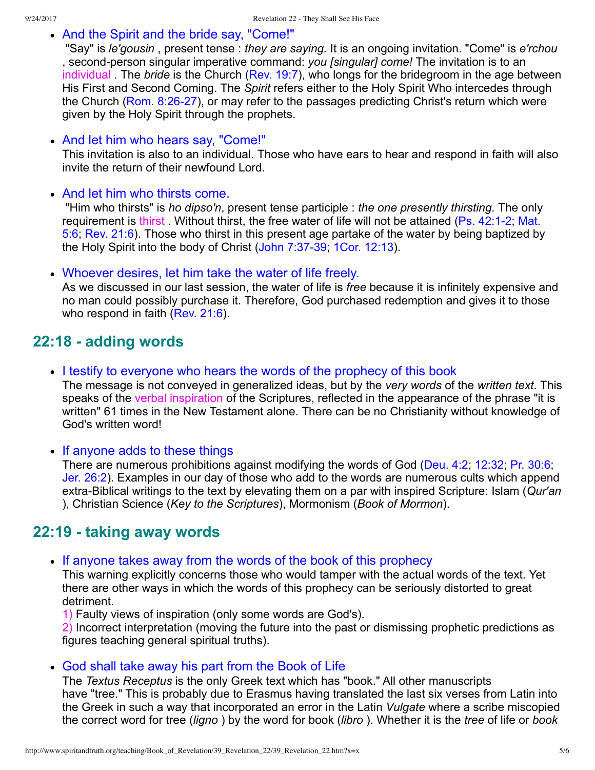• And the Spirit and the bride say, "Come!"

 "Say" is *le'gousin* , present tense : *they are saying.* It is an ongoing invitation. "Come" is *e'rchou* , second-person singular imperative command: *you [singular] come!* The invitation is to an individual. The *bride* is the Church [\(Rev. 19:7](http://www.spiritandtruth.org/bibles/nasb/b66c019.htm#Rev._C19V7)), who longs for the bridegroom in the age between His First and Second Coming. The *Spirit* refers either to the Holy Spirit Who intercedes through the Church (Rom. 8:26-27), or may refer to the passages predicting Christ's return which were given by the Holy Spirit through the prophets.

• And let him who hears say, "Come!"

This invitation is also to an individual. Those who have ears to hear and respond in faith will also invite the return of their newfound Lord.

• And let him who thirsts come.

 "Him who thirsts" is *ho dipso'n*, present tense participle : *the one presently thirsting.* The only requirement is thirst. Without thirst, the free water of life will not be attained (Ps. 42:1-2; Mat. 5:6; [Rev. 21:6\)](http://www.spiritandtruth.org/bibles/nasb/b66c021.htm#Rev._C21V6). Those who thirst in this present age partake of the water by being baptized by the Holy Spirit into the body of Christ (John 7:37-39; [1Cor. 12:13](http://www.spiritandtruth.org/bibles/nasb/b46c012.htm#1Cor._C12V13)).

Whoever desires, let him take the water of life freely.

As we discussed in our last session, the water of life is *free* because it is infinitely expensive and no man could possibly purchase it. Therefore, God purchased redemption and gives it to those who respond in faith ([Rev. 21:6](http://www.spiritandtruth.org/bibles/nasb/b66c021.htm#Rev._C21V6)).

# **22:18 adding words**

I testify to everyone who hears the words of the prophecy of this book The message is not conveyed in generalized ideas, but by the *very words* of the *written text*. This speaks of the verbal inspiration of the Scriptures, reflected in the appearance of the phrase "it is written" 61 times in the New Testament alone. There can be no Christianity without knowledge of God's written word!

• If anyone adds to these things

There are numerous prohibitions against modifying the words of God [\(Deu. 4:2;](http://www.spiritandtruth.org/bibles/nasb/b05c004.htm#Deu._C4V2) [12:32;](http://www.spiritandtruth.org/bibles/nasb/b05c012.htm#Deu._C12V32) [Pr. 30:6;](http://www.spiritandtruth.org/bibles/nasb/b20c030.htm#Pr._C30V6) [Jer. 26:2](http://www.spiritandtruth.org/bibles/nasb/b24c026.htm#Jer._C26V2)). Examples in our day of those who add to the words are numerous cults which append extra-Biblical writings to the text by elevating them on a par with inspired Scripture: Islam (*Qur'an*) ), Christian Science (*Key to the Scriptures*), Mormonism (*Book of Mormon*).

# **22:19 taking away words**

If anyone takes away from the words of the book of this prophecy

This warning explicitly concerns those who would tamper with the actual words of the text. Yet there are other ways in which the words of this prophecy can be seriously distorted to great detriment.

1) Faulty views of inspiration (only some words are God's).

2) Incorrect interpretation (moving the future into the past or dismissing prophetic predictions as figures teaching general spiritual truths).

God shall take away his part from the Book of Life

The *Textus Receptus* is the only Greek text which has "book." All other manuscripts have "tree." This is probably due to Erasmus having translated the last six verses from Latin into the Greek in such a way that incorporated an error in the Latin *Vulgate* where a scribe miscopied the correct word for tree (*ligno* ) by the word for book (*libro* ). Whether it is the *tree* of life or *book*